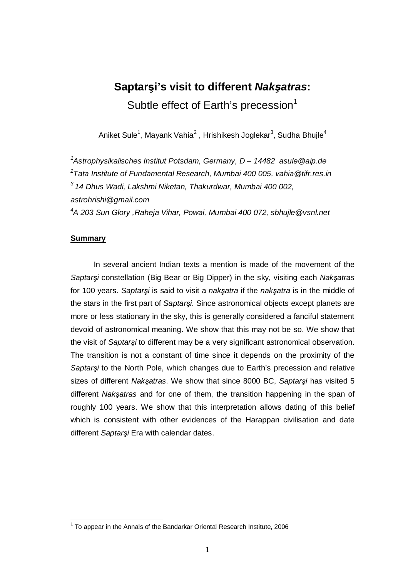# **Saptari's visit to different Nakatras:**  Subtle effect of Earth's precession<sup>1</sup>

Aniket Sule<sup>1</sup>, Mayank Vahia<sup>2</sup> , Hrishikesh Joglekar<sup>3</sup>, Sudha Bhujle<sup>4</sup>

<sup>1</sup>Astrophysikalisches Institut Potsdam, Germany, D – 14482 asule@aip.de  $^{2}$ Tata Institute of Fundamental Research, Mumbai 400 005, vahia@tifr.res.in  $3$  14 Dhus Wadi, Lakshmi Niketan, Thakurdwar, Mumbai 400 002, astrohrishi@gmail.com <sup>4</sup>A 203 Sun Glory ,Raheja Vihar, Powai, Mumbai 400 072, sbhujle@vsnl.net

# **Summary**

In several ancient Indian texts a mention is made of the movement of the Saptarsi constellation (Big Bear or Big Dipper) in the sky, visiting each Naksatras for 100 years. Saptarsi is said to visit a naksatra if the naksatra is in the middle of the stars in the first part of Saptarsi. Since astronomical objects except planets are more or less stationary in the sky, this is generally considered a fanciful statement devoid of astronomical meaning. We show that this may not be so. We show that the visit of Saptarsi to different may be a very significant astronomical observation. The transition is not a constant of time since it depends on the proximity of the Saptarsi to the North Pole, which changes due to Earth's precession and relative sizes of different Naksatras. We show that since 8000 BC, Saptarsi has visited 5 different Naksatras and for one of them, the transition happening in the span of roughly 100 years. We show that this interpretation allows dating of this belief which is consistent with other evidences of the Harappan civilisation and date different Saptarsi Era with calendar dates.

 1 To appear in the Annals of the Bandarkar Oriental Research Institute, 2006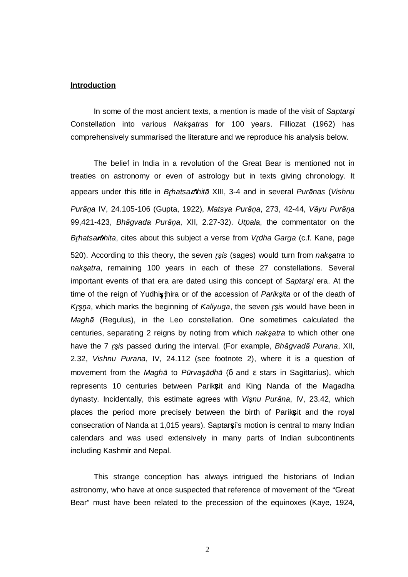#### **Introduction**

In some of the most ancient texts, a mention is made of the visit of Saptarsi Constellation into various Naksatras for 100 years. Filliozat (1962) has comprehensively summarised the literature and we reproduce his analysis below.

The belief in India in a revolution of the Great Bear is mentioned not in treaties on astronomy or even of astrology but in texts giving chronology. It appears under this title in Brhatsanhitā XIII, 3-4 and in several Purānas (Vishnu Purāņa IV, 24.105-106 (Gupta, 1922), Matsya Purāņa, 273, 42-44, Vāyu Purāņa 99,421-423, Bhāgvada Purāņa, XII, 2.27-32). Utpala, the commentator on the Brhatsamhita, cites about this subject a verse from Vrdha Garga (c.f. Kane, page 520). According to this theory, the seven *r*sis (sages) would turn from naksatra to naksatra, remaining 100 years in each of these 27 constellations. Several important events of that era are dated using this concept of Saptarsi era. At the time of the reign of Yudhisthira or of the accession of Parikşita or of the death of Krşna, which marks the beginning of Kaliyuga, the seven rşis would have been in  *(Regulus), in the Leo constellation. One sometimes calculated the* centuries, separating 2 reigns by noting from which naksatra to which other one have the 7 *rsis* passed during the interval. (For example, Bhāgvadā Purana, XII, 2.32, Vishnu Purana, IV, 24.112 (see footnote 2), where it is a question of movement from the Magha to Pūrvasadha ( $\delta$  and  $\epsilon$  stars in Sagittarius), which represents 10 centuries between Pariksit and King Nanda of the Magadha dynasty. Incidentally, this estimate agrees with Visnu Purāna, IV, 23.42, which places the period more precisely between the birth of Pariks it and the royal consecration of Nanda at 1,015 years). Saptar a i's motion is central to many Indian calendars and was used extensively in many parts of Indian subcontinents including Kashmir and Nepal.

This strange conception has always intrigued the historians of Indian astronomy, who have at once suspected that reference of movement of the "Great Bear" must have been related to the precession of the equinoxes (Kaye, 1924,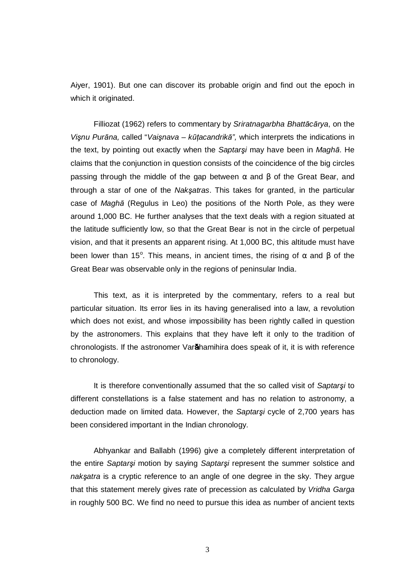Aiyer, 1901). But one can discover its probable origin and find out the epoch in which it originated.

Filliozat (1962) refers to commentary by Sriratnagarbha Bhattācārya, on the Visnu Purāna, called "Vaisnava – kūtacandrikā", which interprets the indications in the text, by pointing out exactly when the Saptarsi may have been in Magha. He claims that the conjunction in question consists of the coincidence of the big circles passing through the middle of the gap between  $\alpha$  and β of the Great Bear, and through a star of one of the Naksatras. This takes for granted, in the particular case of Magha (Regulus in Leo) the positions of the North Pole, as they were around 1,000 BC. He further analyses that the text deals with a region situated at the latitude sufficiently low, so that the Great Bear is not in the circle of perpetual vision, and that it presents an apparent rising. At 1,000 BC, this altitude must have been lower than 15°. This means, in ancient times, the rising of  $\alpha$  and  $\beta$  of the Great Bear was observable only in the regions of peninsular India.

 This text, as it is interpreted by the commentary, refers to a real but particular situation. Its error lies in its having generalised into a law, a revolution which does not exist, and whose impossibility has been rightly called in question by the astronomers. This explains that they have left it only to the tradition of chronologists. If the astronomer Varahamihira does speak of it, it is with reference to chronology.

It is therefore conventionally assumed that the so called visit of Saptarsi to different constellations is a false statement and has no relation to astronomy, a deduction made on limited data. However, the Saptarsi cycle of 2,700 years has been considered important in the Indian chronology.

 Abhyankar and Ballabh (1996) give a completely different interpretation of the entire Saptarsi motion by saying Saptarsi represent the summer solstice and naksatra is a cryptic reference to an angle of one degree in the sky. They argue that this statement merely gives rate of precession as calculated by Vridha Garga in roughly 500 BC. We find no need to pursue this idea as number of ancient texts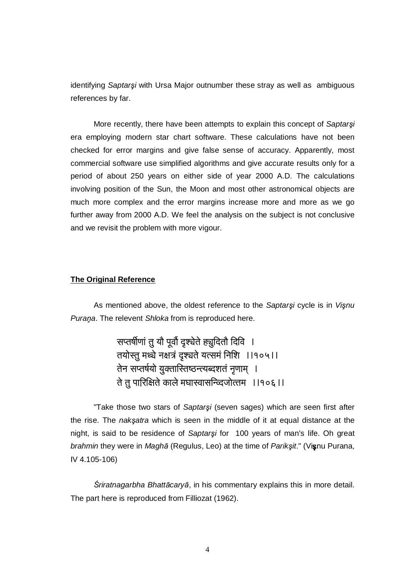identifying Saptarsi with Ursa Major outnumber these stray as well as ambiguous references by far.

More recently, there have been attempts to explain this concept of Saptarsi era employing modern star chart software. These calculations have not been checked for error margins and give false sense of accuracy. Apparently, most commercial software use simplified algorithms and give accurate results only for a period of about 250 years on either side of year 2000 A.D. The calculations involving position of the Sun, the Moon and most other astronomical objects are much more complex and the error margins increase more and more as we go further away from 2000 A.D. We feel the analysis on the subject is not conclusive and we revisit the problem with more vigour.

#### **The Original Reference**

As mentioned above, the oldest reference to the Saptarşi cycle is in Vişnu Purana. The relevent Shloka from is reproduced here.

> सप्तर्षीणां तु यौ पूर्वौ दृश्येते ह्युदितौ दिवि । f İ ---- $\mathfrak{f}$ तयोस्तु मध्चे नक्षत्रं दृश्चते यत्समं निशि ।।१०५।।  $\dagger$  $\mathsf{f}$ f तेन सप्तर्षयो युक्तास्तिष्ठन्त्यब्दशतं नृणाम् । -- $\mathsf{f}$ -ते तु पारिक्षिते काले मघास्वासन्व्दिजोत्तम ।।१०६ ।। --f -

"Take those two stars of Saptarsi (seven sages) which are seen first after the rise. The naksatra which is seen in the middle of it at equal distance at the night, is said to be residence of Saptarsi for 100 years of man's life. Oh great brahmin they were in Maghā (Regulus, Leo) at the time of Pariksit." (Visnu Purana, IV 4.105-106)

Śriratnagarbha Bhattācaryā, in his commentary explains this in more detail. The part here is reproduced from Filliozat (1962).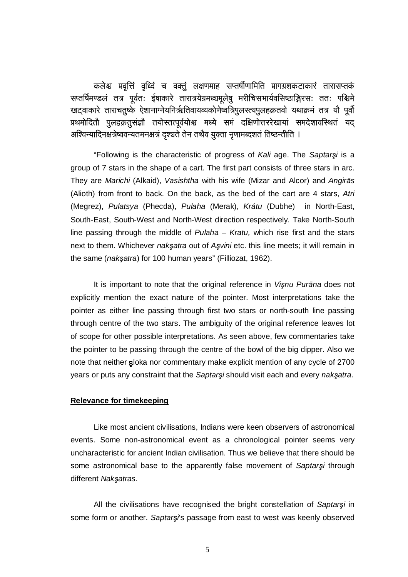कलेश्च प्रवृत्तिं वृध्दिं च वक्तुं लक्षणमाह सप्तर्षीणामिति प्रागग्रशकटाकारं तारासप्तकं  $\mathsf{f}$ -1 **T** f --**T** सप्तर्षिमण्डलं तत्र पूर्वतः ईषाकारे तारात्रयेग्रमध्चमूलेषु मरीचिसभार्यवसिष्ठाङ्गिरसः ततः पश्चिमे --**T**  $\mathsf{f}$ - $\mathsf{f}$ - $\mathsf{f}$ खट्वाकारे ताराचतुष्के ऐशानाग्नेयनिर्ऋतिवायव्यकोणेष्वत्रिपुलस्त्यपुलहक्रतवो यथाक्रमं तत्र यौ पूर्वौ **T** -**T** - $\mathsf{f}$ ------प्रथमोदितौ पुलहक्रतुसंज्ञौ तयोस्तत्पूर्वयोश्च मध्ये समं दक्षिणोत्तररेखायां समदेशावस्थितं यद् - $\mathsf{f}$  $\dagger$ -----İ --अश्विन्यादिनक्षत्रेष्ववन्यतमनक्षत्रं दृश्चते तेन तथैव युक्ता नृणामब्दशतं तिष्ठन्तीति । -- $\mathsf{f}$ **T T**  $\mathsf{f}$  $\mathsf{r}$  $\mathsf{f}$ 

"Following is the characteristic of progress of Kali age. The Saptarsi is a group of 7 stars in the shape of a cart. The first part consists of three stars in arc. They are Marichi (Alkaid), Vasishtha with his wife (Mizar and Alcor) and Angiras (Alioth) from front to back. On the back, as the bed of the cart are 4 stars, Atri (Megrez), Pulatsya (Phecda), Pulaha (Merak), Krátu (Dubhe) in North-East, South-East, South-West and North-West direction respectively. Take North-South line passing through the middle of Pulaha  $-$  Kratu, which rise first and the stars next to them. Whichever naksatra out of Asvini etc. this line meets; it will remain in the same (naksatra) for 100 human years" (Filliozat, 1962).

It is important to note that the original reference in Visnu Purana does not explicitly mention the exact nature of the pointer. Most interpretations take the pointer as either line passing through first two stars or north-south line passing through centre of the two stars. The ambiguity of the original reference leaves lot of scope for other possible interpretations. As seen above, few commentaries take the pointer to be passing through the centre of the bowl of the big dipper. Also we note that neither sloka nor commentary make explicit mention of any cycle of 2700 years or puts any constraint that the Saptarsi should visit each and every naksatra.

# **Relevance for timekeeping**

Like most ancient civilisations, Indians were keen observers of astronomical events. Some non-astronomical event as a chronological pointer seems very uncharacteristic for ancient Indian civilisation. Thus we believe that there should be some astronomical base to the apparently false movement of Saptarsi through different Naksatras.

All the civilisations have recognised the bright constellation of Saptarsi in some form or another. Saptarsi's passage from east to west was keenly observed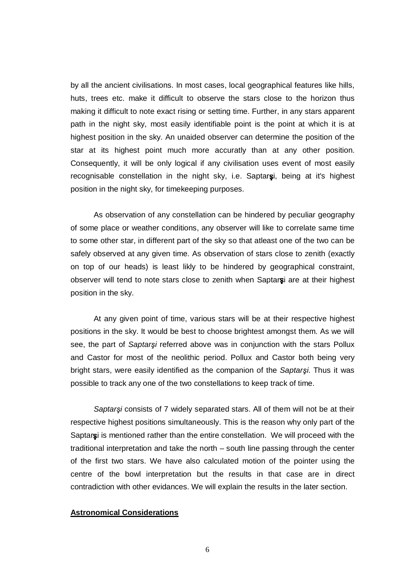by all the ancient civilisations. In most cases, local geographical features like hills, huts, trees etc. make it difficult to observe the stars close to the horizon thus making it difficult to note exact rising or setting time. Further, in any stars apparent path in the night sky, most easily identifiable point is the point at which it is at highest position in the sky. An unaided observer can determine the position of the star at its highest point much more accuratly than at any other position. Consequently, it will be only logical if any civilisation uses event of most easily recognisable constellation in the night sky, i.e. Saptarsi, being at it's highest position in the night sky, for timekeeping purposes.

 As observation of any constellation can be hindered by peculiar geography of some place or weather conditions, any observer will like to correlate same time to some other star, in different part of the sky so that atleast one of the two can be safely observed at any given time. As observation of stars close to zenith (exactly on top of our heads) is least likly to be hindered by geographical constraint, observer will tend to note stars close to zenith when Saptarsi are at their highest position in the sky.

 At any given point of time, various stars will be at their respective highest positions in the sky. It would be best to choose brightest amongst them. As we will see, the part of Saptarsi referred above was in conjunction with the stars Pollux and Castor for most of the neolithic period. Pollux and Castor both being very bright stars, were easily identified as the companion of the Saptarsi. Thus it was possible to track any one of the two constellations to keep track of time.

Saptarsi consists of 7 widely separated stars. All of them will not be at their respective highest positions simultaneously. This is the reason why only part of the Saptarsi is mentioned rather than the entire constellation. We will proceed with the traditional interpretation and take the north – south line passing through the center of the first two stars. We have also calculated motion of the pointer using the centre of the bowl interpretation but the results in that case are in direct contradiction with other evidances. We will explain the results in the later section.

### **Astronomical Considerations**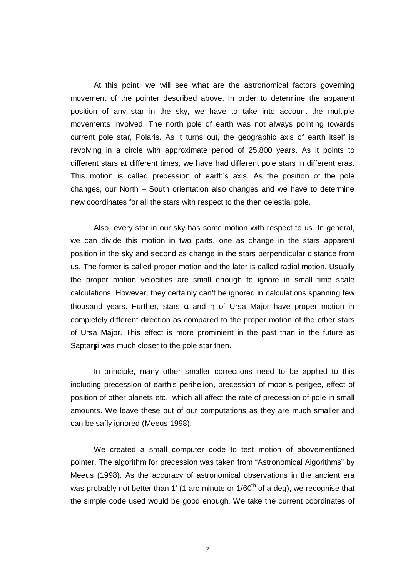At this point, we will see what are the astronomical factors governing movement of the pointer described above. In order to determine the apparent position of any star in the sky, we have to take into account the multiple movements involved. The north pole of earth was not always pointing towards current pole star, Polaris. As it turns out, the geographic axis of earth itself is revolving in a circle with approximate period of 25,800 years. As it points to different stars at different times, we have had different pole stars in different eras. This motion is called precession of earth's axis. As the position of the pole changes, our North – South orientation also changes and we have to determine new coordinates for all the stars with respect to the then celestial pole.

 Also, every star in our sky has some motion with respect to us. In general, we can divide this motion in two parts, one as change in the stars apparent position in the sky and second as change in the stars perpendicular distance from us. The former is called proper motion and the later is called radial motion. Usually the proper motion velocities are small enough to ignore in small time scale calculations. However, they certainly can't be ignored in calculations spanning few thousand years. Further, stars  $\alpha$  and  $\eta$  of Ursa Major have proper motion in completely different direction as compared to the proper motion of the other stars of Ursa Major. This effect is more prominient in the past than in the future as Saptar i was much closer to the pole star then.

 In principle, many other smaller corrections need to be applied to this including precession of earth's perihelion, precession of moon's perigee, effect of position of other planets etc., which all affect the rate of precession of pole in small amounts. We leave these out of our computations as they are much smaller and can be safly ignored (Meeus 1998).

 We created a small computer code to test motion of abovementioned pointer. The algorithm for precession was taken from "Astronomical Algorithms" by Meeus (1998). As the accuracy of astronomical observations in the ancient era was probably not better than 1' (1 arc minute or  $1/60<sup>th</sup>$  of a deg), we recognise that the simple code used would be good enough. We take the current coordinates of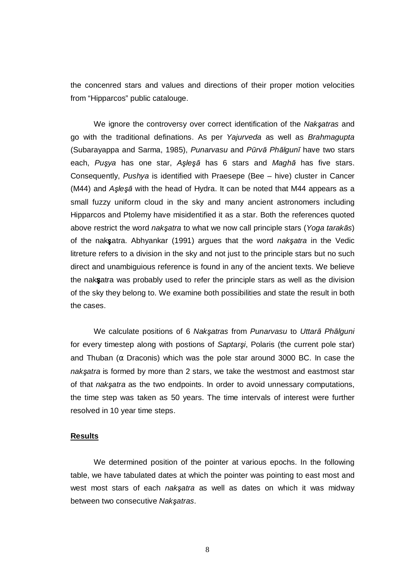the concenred stars and values and directions of their proper motion velocities from "Hipparcos" public catalouge.

We ignore the controversy over correct identification of the Naksatras and go with the traditional definations. As per Yajurveda as well as Brahmagupta (Subarayappa and Sarma, 1985), Punarvasu and Pūrvā Phālgunī have two stars each, Pusya has one star, Aslesa has 6 stars and Magha has five stars. Consequently, Pushya is identified with Praesepe (Bee – hive) cluster in Cancer (M44) and  $A\xi e \xi \bar{a}$  with the head of Hydra. It can be noted that M44 appears as a small fuzzy uniform cloud in the sky and many ancient astronomers including Hipparcos and Ptolemy have misidentified it as a star. Both the references quoted above restrict the word naksatra to what we now call principle stars (Yoga tarakas) of the nak satra. Abhyankar (1991) argues that the word nak satra in the Vedic litreture refers to a division in the sky and not just to the principle stars but no such direct and unambiguious reference is found in any of the ancient texts. We believe the nak satra was probably used to refer the principle stars as well as the division of the sky they belong to. We examine both possibilities and state the result in both the cases.

We calculate positions of 6 Naksatras from Punarvasu to Uttara Phalguni for every timestep along with postions of Saptarsi, Polaris (the current pole star) and Thuban ( $\alpha$  Draconis) which was the pole star around 3000 BC. In case the naksatra is formed by more than 2 stars, we take the westmost and eastmost star of that naksatra as the two endpoints. In order to avoid unnessary computations, the time step was taken as 50 years. The time intervals of interest were further resolved in 10 year time steps.

### **Results**

 We determined position of the pointer at various epochs. In the following table, we have tabulated dates at which the pointer was pointing to east most and west most stars of each *naksatra* as well as dates on which it was midway between two consecutive Naksatras.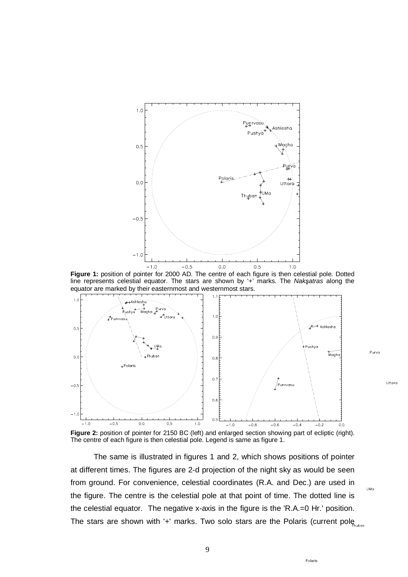

**Figure 1:** position of pointer for 2000 AD. The centre of each figure is then celestial pole. Dotted line represents celestial equator. The stars are shown by '+' marks. The Naksatras along the equator are marked by their easternmost and westernmost stars.



Figure 2: position of pointer for 2150 BC (left) and enlarged section showing part of ecliptic (right). The centre of each figure is then celestial pole. Legend is same as figure 1.

 The same is illustrated in figures 1 and 2, which shows positions of pointer at different times. The figures are 2-d projection of the night sky as would be seen from ground. For convenience, celestial coordinates (R.A. and Dec.) are used in the figure. The centre is the celestial pole at that point of time. The dotted line is the celestial equator. The negative x-axis in the figure is the 'R.A.=0 Hr.' position. The stars are shown with '+' marks. Two solo stars are the Polaris (current pole  $h_{\text{two}}$ 

9

Uttoro

UMo

Poloris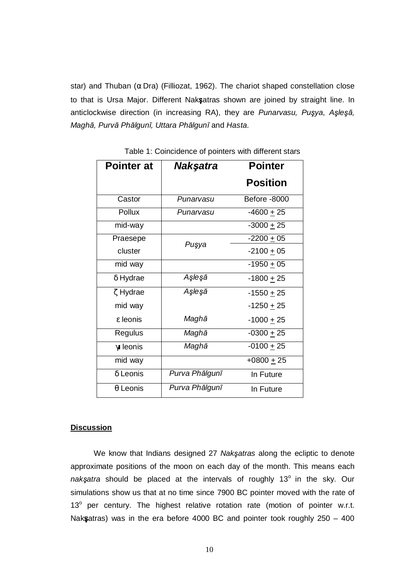star) and Thuban ( $\alpha$  Dra) (Filliozat, 1962). The chariot shaped constellation close to that is Ursa Major. Different Nak satras shown are joined by straight line. In anticlockwise direction (in increasing RA), they are Punarvasu, Pusya, Aslesa, Maghā, Purvā Phālgunī, Uttara Phālgunī and Hasta.

| <b>Pointer at</b> | Nakşatra       | <b>Pointer</b>  |
|-------------------|----------------|-----------------|
|                   |                | <b>Position</b> |
| Castor            | Punarvasu      | Before -8000    |
| Pollux            | Punarvasu      | $-4600 + 25$    |
| mid-way           |                | $-3000 + 25$    |
| Praesepe          | Puşya          | $-2200 + 05$    |
| cluster           |                | $-2100 + 05$    |
| mid way           |                | $-1950 + 05$    |
| δ Hydrae          | Aşleşā         | $-1800 + 25$    |
| ζ Hydrae          | Aşleşā         | $-1550 + 25$    |
| mid way           |                | $-1250 + 25$    |
| ε leonis          | Maghā          | $-1000 + 25$    |
| Regulus           | Maghā          | $-0300 + 25$    |
| $\gamma$ leonis   | Maghā          | $-0100 + 25$    |
| mid way           |                | $+0800 \pm 25$  |
| $\delta$ Leonis   | Purva Phālgunī | In Future       |
| $\theta$ Leonis   | Purva Phālgunī | In Future       |

Table 1: Coincidence of pointers with different stars

## **Discussion**

We know that Indians designed 27 Naksatras along the ecliptic to denote approximate positions of the moon on each day of the month. This means each naksatra should be placed at the intervals of roughly  $13^{\circ}$  in the sky. Our simulations show us that at no time since 7900 BC pointer moved with the rate of 13° per century. The highest relative rotation rate (motion of pointer w.r.t. Nak satras) was in the era before 4000 BC and pointer took roughly  $250 - 400$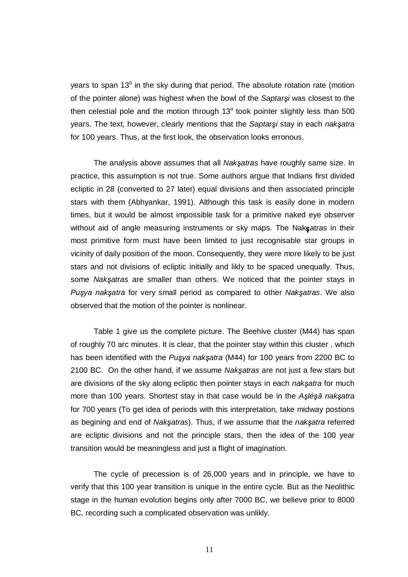years to span 13<sup>°</sup> in the sky during that period. The absolute rotation rate (motion of the pointer alone) was highest when the bowl of the Saptarsi was closest to the then celestial pole and the motion through  $13^{\circ}$  took pointer slightly less than 500 years. The text, however, clearly mentions that the Saptarsi stay in each naksatra for 100 years. Thus, at the first look, the observation looks erronous.

The analysis above assumes that all Naksatras have roughly same size. In practice, this assumption is not true. Some authors argue that Indians first divided ecliptic in 28 (converted to 27 later) equal divisions and then associated principle stars with them (Abhyankar, 1991). Although this task is easily done in modern times, but it would be almost impossible task for a primitive naked eye observer without aid of angle measuring instruments or sky maps. The Nak satras in their most primitive form must have been limited to just recognisable star groups in vicinity of daily position of the moon. Consequently, they were more likely to be just stars and not divisions of ecliptic initially and likly to be spaced unequally. Thus, some Naksatras are smaller than others. We noticed that the pointer stays in Puşya nakşatra for very small period as compared to other Nakşatras. We also observed that the motion of the pointer is nonlinear.

 Table 1 give us the complete picture. The Beehive cluster (M44) has span of roughly 70 arc minutes. It is clear, that the pointer stay within this cluster , which has been identified with the Pusya naksatra (M44) for 100 years from 2200 BC to 2100 BC. On the other hand, if we assume Naksatras are not just a few stars but are divisions of the sky along ecliptic then pointer stays in each naksatra for much more than 100 years. Shortest stay in that case would be in the Aslésa naksatra for 700 years (To get idea of periods with this interpretation, take midway postions as begining and end of Naksatras). Thus, if we assume that the naksatra referred are ecliptic divisions and not the principle stars, then the idea of the 100 year transition would be meaningless and just a flight of imagination.

 The cycle of precession is of 26,000 years and in principle, we have to verify that this 100 year transition is unique in the entire cycle. But as the Neolithic stage in the human evolution begins only after 7000 BC, we believe prior to 8000 BC, recording such a complicated observation was unlikly.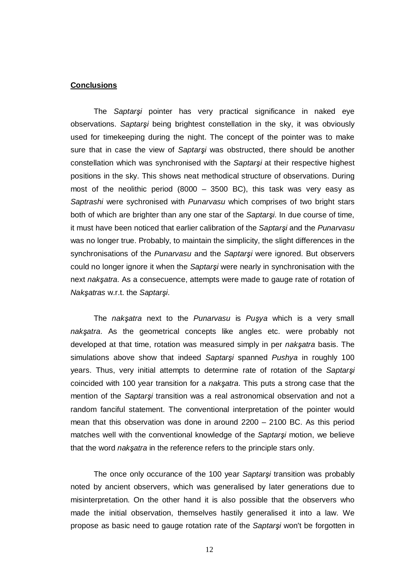#### **Conclusions**

The Saptarsi pointer has very practical significance in naked eye observations. Saptarsi being brightest constellation in the sky, it was obviously used for timekeeping during the night. The concept of the pointer was to make sure that in case the view of Saptarsi was obstructed, there should be another constellation which was synchronised with the Saptarsi at their respective highest positions in the sky. This shows neat methodical structure of observations. During most of the neolithic period (8000 – 3500 BC), this task was very easy as Saptrashi were sychronised with Punarvasu which comprises of two bright stars both of which are brighter than any one star of the Saptarsi. In due course of time, it must have been noticed that earlier calibration of the Saptarsi and the Punarvasu was no longer true. Probably, to maintain the simplicity, the slight differences in the synchronisations of the Punarvasu and the Saptarsi were ignored. But observers could no longer ignore it when the Saptarsi were nearly in synchronisation with the next naksatra. As a consecuence, attempts were made to gauge rate of rotation of Nakşatras w.r.t. the Saptarşi.

The naksatra next to the Punarvasu is Pusya which is a very small naksatra. As the geometrical concepts like angles etc. were probably not developed at that time, rotation was measured simply in per naksatra basis. The simulations above show that indeed Saptarsi spanned Pushya in roughly 100 years. Thus, very initial attempts to determine rate of rotation of the Saptarsi coincided with 100 year transition for a naksatra. This puts a strong case that the mention of the Saptarsi transition was a real astronomical observation and not a random fanciful statement. The conventional interpretation of the pointer would mean that this observation was done in around 2200 – 2100 BC. As this period matches well with the conventional knowledge of the Saptarsi motion, we believe that the word *naksatra* in the reference refers to the principle stars only.

The once only occurance of the 100 year Saptarsi transition was probably noted by ancient observers, which was generalised by later generations due to misinterpretation. On the other hand it is also possible that the observers who made the initial observation, themselves hastily generalised it into a law. We propose as basic need to gauge rotation rate of the Saptarsi won't be forgotten in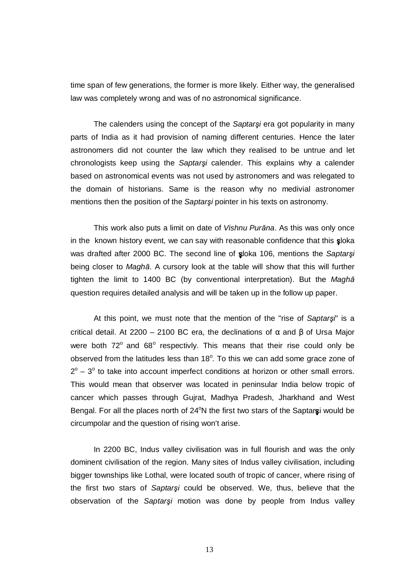time span of few generations, the former is more likely. Either way, the generalised law was completely wrong and was of no astronomical significance.

The calenders using the concept of the Saptarsi era got popularity in many parts of India as it had provision of naming different centuries. Hence the later astronomers did not counter the law which they realised to be untrue and let chronologists keep using the Saptarsi calender. This explains why a calender based on astronomical events was not used by astronomers and was relegated to the domain of historians. Same is the reason why no medivial astronomer mentions then the position of the Saptarsi pointer in his texts on astronomy.

This work also puts a limit on date of Vishnu Purāna. As this was only once in the known history event, we can say with reasonable confidence that this sloka was drafted after 2000 BC. The second line of sloka 106, mentions the Saptarsi being closer to *Magha*. A cursory look at the table will show that this will further tighten the limit to 1400 BC (by conventional interpretation). But the Magha question requires detailed analysis and will be taken up in the follow up paper.

At this point, we must note that the mention of the "rise of Saptars!" is a critical detail. At 2200 – 2100 BC era, the declinations of  $\alpha$  and  $\beta$  of Ursa Major were both  $72^{\circ}$  and  $68^{\circ}$  respectivly. This means that their rise could only be observed from the latitudes less than  $18^\circ$ . To this we can add some grace zone of  $2^{\circ}$  –  $3^{\circ}$  to take into account imperfect conditions at horizon or other small errors. This would mean that observer was located in peninsular India below tropic of cancer which passes through Gujrat, Madhya Pradesh, Jharkhand and West Bengal. For all the places north of  $24^{\circ}N$  the first two stars of the Saptarsi would be circumpolar and the question of rising won't arise.

 In 2200 BC, Indus valley civilisation was in full flourish and was the only dominent civilisation of the region. Many sites of Indus valley civilisation, including bigger townships like Lothal, were located south of tropic of cancer, where rising of the first two stars of Saptarsi could be observed. We, thus, believe that the observation of the Saptarsi motion was done by people from Indus valley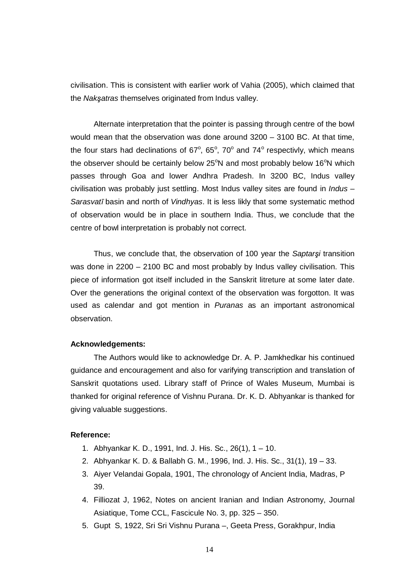civilisation. This is consistent with earlier work of Vahia (2005), which claimed that the Naksatras themselves originated from Indus valley.

 Alternate interpretation that the pointer is passing through centre of the bowl would mean that the observation was done around 3200 – 3100 BC. At that time, the four stars had declinations of  $67^\circ$ ,  $65^\circ$ ,  $70^\circ$  and  $74^\circ$  respectivly, which means the observer should be certainly below  $25^{\circ}$ N and most probably below 16 $^{\circ}$ N which passes through Goa and lower Andhra Pradesh. In 3200 BC, Indus valley civilisation was probably just settling. Most Indus valley sites are found in Indus – Sarasvatī basin and north of Vindhyas. It is less likly that some systematic method of observation would be in place in southern India. Thus, we conclude that the centre of bowl interpretation is probably not correct.

Thus, we conclude that, the observation of 100 year the Saptarsi transition was done in 2200 – 2100 BC and most probably by Indus valley civilisation. This piece of information got itself included in the Sanskrit litreture at some later date. Over the generations the original context of the observation was forgotton. It was used as calendar and got mention in Puranas as an important astronomical observation.

## **Acknowledgements:**

 The Authors would like to acknowledge Dr. A. P. Jamkhedkar his continued guidance and encouragement and also for varifying transcription and translation of Sanskrit quotations used. Library staff of Prince of Wales Museum, Mumbai is thanked for original reference of Vishnu Purana. Dr. K. D. Abhyankar is thanked for giving valuable suggestions.

## **Reference:**

- 1. Abhyankar K. D., 1991, Ind. J. His. Sc., 26(1), 1 10.
- 2. Abhyankar K. D. & Ballabh G. M., 1996, Ind. J. His. Sc., 31(1), 19 33.
- 3. Aiyer Velandai Gopala, 1901, The chronology of Ancient India, Madras, P 39.
- 4. Filliozat J, 1962, Notes on ancient Iranian and Indian Astronomy, Journal Asiatique, Tome CCL, Fascicule No. 3, pp. 325 – 350.
- 5. Gupt S, 1922, Sri Sri Vishnu Purana –, Geeta Press, Gorakhpur, India